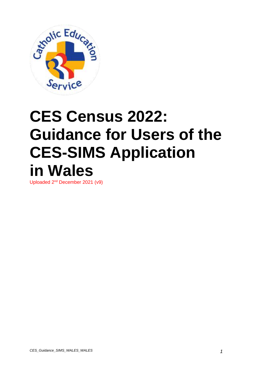

# **CES Census 2022: Guidance for Users of the CES-SIMS Application in Wales**

Uploaded 2<sup>nd</sup> December 2021 (v9)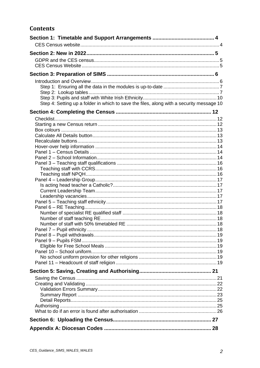#### **Contents**

| Step 4: Setting up a folder in which to save the files, along with a security message 10 |  |
|------------------------------------------------------------------------------------------|--|
|                                                                                          |  |
|                                                                                          |  |
|                                                                                          |  |
|                                                                                          |  |
|                                                                                          |  |
|                                                                                          |  |
|                                                                                          |  |
|                                                                                          |  |
|                                                                                          |  |
|                                                                                          |  |
|                                                                                          |  |
|                                                                                          |  |
|                                                                                          |  |
|                                                                                          |  |
|                                                                                          |  |
|                                                                                          |  |
|                                                                                          |  |
|                                                                                          |  |
|                                                                                          |  |
|                                                                                          |  |
|                                                                                          |  |
|                                                                                          |  |
|                                                                                          |  |
|                                                                                          |  |
|                                                                                          |  |
|                                                                                          |  |
|                                                                                          |  |
|                                                                                          |  |
|                                                                                          |  |
|                                                                                          |  |
|                                                                                          |  |
|                                                                                          |  |
|                                                                                          |  |
|                                                                                          |  |
|                                                                                          |  |
|                                                                                          |  |
|                                                                                          |  |
|                                                                                          |  |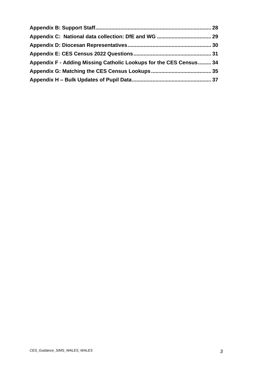| Appendix F - Adding Missing Catholic Lookups for the CES Census 34 |  |
|--------------------------------------------------------------------|--|
|                                                                    |  |
|                                                                    |  |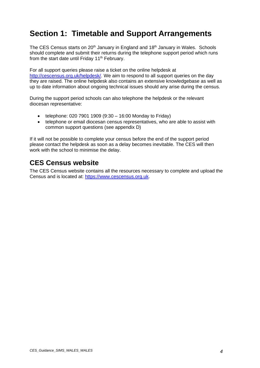# <span id="page-3-0"></span>**Section 1: Timetable and Support Arrangements**

The CES Census starts on 20<sup>th</sup> January in England and 18<sup>th</sup> January in Wales. Schools should complete and submit their returns during the telephone support period which runs from the start date until Friday 11<sup>th</sup> February.

For all support queries please raise a ticket on the online helpdesk at [http://cescensus.org.uk/helpdesk/.](http://cescensus.org.uk/helpdesk/) We aim to respond to all support queries on the day they are raised. The online helpdesk also contains an extensive knowledgebase as well as up to date information about ongoing technical issues should any arise during the census.

During the support period schools can also telephone the helpdesk or the relevant diocesan representative:

- telephone: 020 7901 1909  $(9:30 16:00$  Monday to Friday)
- telephone or email diocesan census representatives, who are able to assist with common support questions (see appendix D)

If it will not be possible to complete your census before the end of the support period please contact the helpdesk as soon as a delay becomes inevitable. The CES will then work with the school to minimise the delay.

### <span id="page-3-1"></span>**CES Census website**

The CES Census website contains all the resources necessary to complete and upload the Census and is located at: [https://www.cescensus.org.uk.](https://www.cescensus.org.uk/)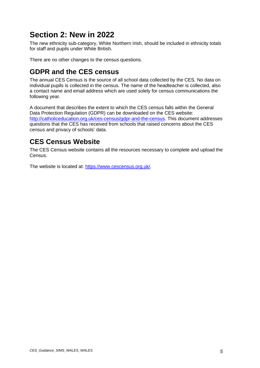# <span id="page-4-0"></span>**Section 2: New in 2022**

The new ethnicity sub-category, White Northern Irish, should be included in ethnicity totals for staff and pupils under White British.

There are no other changes to the census questions.

### <span id="page-4-1"></span>**GDPR and the CES census**

The annual CES Census is the source of all school data collected by the CES. No data on individual pupils is collected in the census. The name of the headteacher is collected, also a contact name and email address which are used solely for census communications the following year.

A document that describes the extent to which the CES census falls within the General Data Protection Regulation (GDPR) can be downloaded on the CES website: [http://catholiceducation.org.uk/ces-census/gdpr-and-the-census.](http://catholiceducation.org.uk/ces-census/gdpr-and-the-census) This document addresses questions that the CES has received from schools that raised concerns about the CES census and privacy of schools' data.

### <span id="page-4-2"></span>**CES Census Website**

The CES Census website contains all the resources necessary to complete and upload the Census.

The website is located at: [https://www.cescensus.org.uk/.](https://www.cescensus.org.uk/)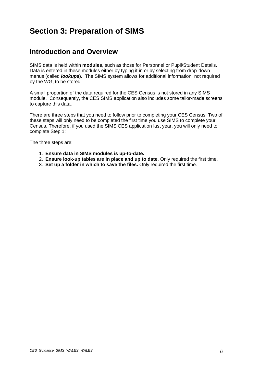# <span id="page-5-0"></span>**Section 3: Preparation of SIMS**

### <span id="page-5-1"></span>**Introduction and Overview**

SIMS data is held within **modules**, such as those for Personnel or Pupil/Student Details. Data is entered in these modules either by typing it in or by selecting from drop-down menus (called *lookups*). The SIMS system allows for additional information, not required by the WG, to be stored.

A small proportion of the data required for the CES Census is not stored in any SIMS module. Consequently, the CES SIMS application also includes some tailor-made screens to capture this data.

There are three steps that you need to follow prior to completing your CES Census. Two of these steps will only need to be completed the first time you use SIMS to complete your Census. Therefore, if you used the SIMS CES application last year, you will only need to complete Step 1:

The three steps are:

- 1. **Ensure data in SIMS modules is up-to-date.**
- 2. **Ensure look-up tables are in place and up to date**. Only required the first time.
- 3. **Set up a folder in which to save the files.** Only required the first time.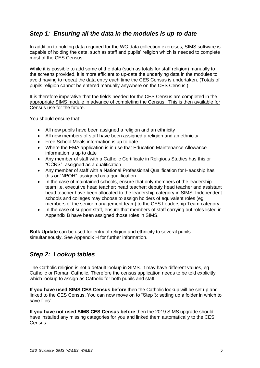#### <span id="page-6-0"></span>*Step 1: Ensuring all the data in the modules is up-to-date*

In addition to holding data required for the WG data collection exercises, SIMS software is capable of holding the data, such as staff and pupils' religion which is needed to complete most of the CES Census.

While it is possible to add some of the data (such as totals for staff religion) manually to the screens provided, it is more efficient to up-date the underlying data in the modules to avoid having to repeat the data entry each time the CES Census is undertaken. (Totals of pupils religion cannot be entered manually anywhere on the CES Census.)

It is therefore imperative that the fields needed for the CES Census are completed in the appropriate SIMS module in advance of completing the Census. This is then available for Census use for the future.

You should ensure that:

- All new pupils have been assigned a religion and an ethnicity
- All new members of staff have been assigned a religion and an ethnicity
- Free School Meals information is up to date
- Where the EMA application is in use that Education Maintenance Allowance information is up to date
- Any member of staff with a Catholic Certificate in Religious Studies has this or "CCRS" assigned as a qualification
- Any member of staff with a National Professional Qualification for Headship has this or "NPQH" assigned as a qualification
- In the case of maintained schools, ensure that only members of the leadership team i.e. executive head teacher; head teacher; deputy head teacher and assistant head teacher have been allocated to the leadership category in SIMS. Independent schools and colleges may choose to assign holders of equivalent roles (eg members of the senior management team) to the CES Leadership Team category.
- In the case of support staff, ensure that members of staff carrying out roles listed in Appendix B have been assigned those roles in SIMS.

**Bulk Update** can be used for entry of religion and ethnicity to several pupils simultaneously. See Appendix H for further information.

#### <span id="page-6-1"></span>*Step 2: Lookup tables*

The Catholic religion is not a default lookup in SIMS. It may have different values, eg Catholic or Roman Catholic. Therefore the census application needs to be told explicitly which lookup to assign as Catholic for both pupils and staff.

**If you have used SIMS CES Census before** then the Catholic lookup will be set up and linked to the CES Census. You can now move on to "Step 3: setting up a folder in which to save files".

**If you have not used SIMS CES Census before** then the 2019 SIMS upgrade should have installed any missing categories for you and linked them automatically to the CES Census.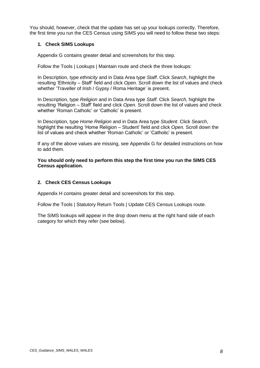You should, however, check that the update has set up your lookups correctly. Therefore, the first time you run the CES Census using SIMS you will need to follow these two steps:

#### **1. Check SIMS Lookups**

Appendix G contains greater detail and screenshots for this step.

Follow the Tools | Lookups | Maintain route and check the three lookups:

In Description, type *ethnicity* and in Data Area type *Staff*. Click *Search*, highlight the resulting 'Ethnicity – Staff' field and click *Open.* Scroll down the list of values and check whether 'Traveller of Irish / Gypsy / Roma Heritage' is present.

In Description, type *Religion* and in Data Area type *Staff*. Click *Search*, highlight the resulting 'Religion – Staff' field and click *Open.* Scroll down the list of values and check whether 'Roman Catholic' or 'Catholic' is present.

In Description, type *Home Religion* and in Data Area type *Student*. Click *Search*, highlight the resulting 'Home Religion – Student' field and click *Open.* Scroll down the list of values and check whether 'Roman Catholic' or 'Catholic' is present.

If any of the above values are missing, see Appendix G for detailed instructions on how to add them.

**You should only need to perform this step the first time you run the SIMS CES Census application.**

#### **2. Check CES Census Lookups**

Appendix H contains greater detail and screenshots for this step.

Follow the Tools | Statutory Return Tools | Update CES Census Lookups route.

The SIMS lookups will appear in the drop down menu at the right hand side of each category for which they refer (see below).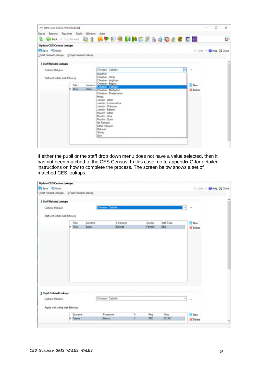| Focus Reports Routines Tools Window                                                                |               |                  | Help<br><b>take - Discount &amp; &amp; Life P &amp; M M B B &amp; &amp; O &amp; &amp; E B</b>                                                                                                                                                  | Ġ.                    |
|----------------------------------------------------------------------------------------------------|---------------|------------------|------------------------------------------------------------------------------------------------------------------------------------------------------------------------------------------------------------------------------------------------|-----------------------|
| <b>Update CES Consus Lookups</b><br>Save J Undo<br>1 Staff Related Lookups 2 Pupil Related Lookups |               |                  |                                                                                                                                                                                                                                                | Links - CHelp & Close |
| 1 Staff Related Lookups                                                                            |               |                  |                                                                                                                                                                                                                                                |                       |
| Catholic Religion<br>Staff with White Irish Ethnicity                                              |               |                  | Christian - Catholic<br>w<br>٠<br><b>Buddhist</b><br>Christian - Other<br>Christian - Anglican<br>Christian - Baptist                                                                                                                          |                       |
|                                                                                                    | Title<br>Miss | Surname<br>Bates | <b>B</b> New<br>Christian - Catholic<br>C Delete<br>Christian - Methodist                                                                                                                                                                      |                       |
|                                                                                                    |               |                  | Christian - Presbytarian<br><b>Hindu</b><br>Jewish - Other<br>Jewish - Conservative<br>Jewish - Orthodox<br>Jewish - Reform<br>Muslim - Other<br>Muslim - Shia<br>Muslim - Sunni<br>No Religion<br>Other Religion<br>Refused<br>Shirto<br>Sikh |                       |

If either the pupil or the staff drop down menu does not have a value selected, then it has not been matched to the CES Census. In this case, go to appendix G for detailed instructions on how to complete the process. The screen below shows a set of matched CES lookups.

| <b>Update CES Census Lookups</b>                |         |         |                             |                |            |            |          |                       |   |
|-------------------------------------------------|---------|---------|-----------------------------|----------------|------------|------------|----------|-----------------------|---|
| El Save - Undo                                  |         |         |                             |                |            |            |          | Links - CHelp & Close |   |
| 1 Staff Related Lookups 2 Pupil Related Lookups |         |         |                             |                |            |            |          |                       |   |
| 1 Staff Related Lookups                         |         |         |                             |                |            |            |          |                       |   |
| Catholic Religion                               |         |         | <b>Christian - Catholic</b> |                |            |            |          | ٠                     |   |
| Staff with White Irish Ethnicity                |         |         |                             |                |            |            |          |                       |   |
|                                                 | Title   | Surname | Forename                    |                | Gender     | Staff Code |          | <b>R</b> New          |   |
|                                                 | Miss    | Bates   | Belinda                     |                | Female     | BEB        |          | <b>K</b> Delete       |   |
|                                                 |         |         |                             |                |            |            |          |                       |   |
| 2 Pupil Related Lookups                         |         |         |                             |                |            |            |          |                       |   |
| Catholic Religion                               |         |         | Christian - Catholic        |                |            |            | $\omega$ | ٠                     |   |
| Pupils with White Insh Ethnicity                |         |         |                             |                |            |            |          |                       |   |
|                                                 | Surname |         | Forename                    | Yr             | Reg        | Adno       |          | <b>B</b> New          |   |
|                                                 | > Adams |         | Nancy                       | $\overline{3}$ | <b>JTO</b> | 001457     |          | X Delate              | ü |
|                                                 |         |         |                             |                |            |            |          |                       |   |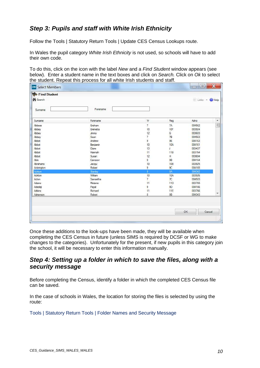#### <span id="page-9-0"></span>*Step 3: Pupils and staff with White Irish Ethnicity*

Follow the Tools | Statutory Return Tools | Update CES Census Lookups route.

In Wales the pupil category *White Irish Ethnicity* is not used, so schools will have to add their own code.

To do this, click on the icon with the label *New* and a *Find Student* window appears (see below). Enter a student name in the text boxes and click on *Search.* Click on *Ok* to select the student. Repeat this process for all white Irish students and staff.

| Find Student    |          |                |                |         |                  |
|-----------------|----------|----------------|----------------|---------|------------------|
| <b>M</b> Search |          |                |                | Links * | Help <sup></sup> |
| Surname         | Forename |                |                |         |                  |
| Sumame          | Forename | Yr             | Reg            | Adno    | ۸                |
| Abbess          | Graham   | 7              | 7A             | 004562  | $\equiv$         |
| Abbey           | Grenetta | 10             | <b>10F</b>     | 003924  |                  |
| Abbey           | Jimmy    | 12             | G              | 003603  |                  |
| Abbey           | Sean     | 7              | 7B             | 004563  |                  |
| Abbot           | Andrew   | 9              | 9E             | 004163  |                  |
| Abbot           | Benjamin | 10             | <b>10A</b>     | 004161  |                  |
| Abbot           | Claire   | 13             | $\sf J$        | 003437  |                  |
| Abbot           | Hannah   | 11             | 11B            | 003764  |                  |
| Abbot           | Susan    | 12             | H              | 003604  |                  |
| Able            | Cameron  | 9              | 9B             | 004164  |                  |
| Abrahams        | Jacqui   | 10             | <b>10B</b>     | 003925  |                  |
| Ackrington      | Robert   | 9              | 9C             | 004165  |                  |
| Ackton          | Stanley  | $\overline{8}$ | <b>8A</b>      | 004342  |                  |
| Ackton          | William  | 10             | <b>10A</b>     | 003926  |                  |
| Acton           | Samantha | 7              | $\pi$          | 004503  |                  |
| Adams           | Melanie  | 11             | 11D            | 003765  |                  |
| Adedeji         | Payal    | 9              | 9 <sub>D</sub> | 004166  |                  |
| Adkins          | Richard  | 11             | 11E            | 003766  |                  |
| Adrianson       | Robert   | 8              | <b>8B</b>      | 004343  |                  |

Once these additions to the look-ups have been made, they will be available when completing the CES Census in future (unless SIMS is required by DCSF or WG to make changes to the categories). Unfortunately for the present, if new pupils in this category join the school, it will be necessary to enter this information manually.

#### <span id="page-9-1"></span>*Step 4: Setting up a folder in which to save the files, along with a security message*

Before completing the Census, identify a folder in which the completed CES Census file can be saved.

In the case of schools in Wales, the location for storing the files is selected by using the route:

#### Tools | Statutory Return Tools | Folder Names and Security Message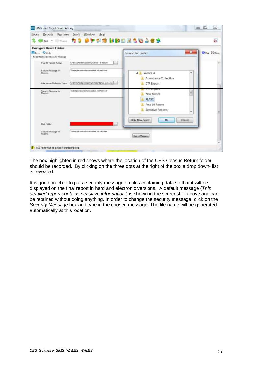| Reports<br>Routines<br>Focus                                                           | Tools<br>Window<br>Help<br><b>Has the ST Brand Hall Eagles</b>                             |                                                                 | e.                   |
|----------------------------------------------------------------------------------------|--------------------------------------------------------------------------------------------|-----------------------------------------------------------------|----------------------|
| <b>Configure Return Folders</b><br>BSave D Undo<br>1 Folder Names and Sesurity Message |                                                                                            | ×<br><b>Browse For Folder</b>                                   | <b>Orley X Close</b> |
| Post 16 PLASC Polder<br>Security Measurge for<br>Reports                               | C1SIWSFoldersWeishGA\Post 16 Return<br>This report contains sensitive information.         | ٠<br>4 WeishGA<br>Attendance Collection                         |                      |
| Attendance Colection Folder<br>Security Message for                                    | C:/SIMSPoiders/WelshGAV/imendance Collection<br>his report contains sensitive information. | CTF Export<br>CTF Import                                        |                      |
| Reports                                                                                |                                                                                            | ä<br>New folder<br>PLASC<br>Post 16 Return<br>Sensitive Reports |                      |
| <b>CES Falder</b>                                                                      |                                                                                            | OK<br>Make New Folder<br>Cancel                                 |                      |
| Security Message for<br>Reports                                                        | This report contains sensitive information.                                                | Default Message                                                 |                      |

The box highlighted in red shows where the location of the CES Census Return folder should be recorded. By clicking on the three dots at the right of the box a drop down- list is revealed.

It is good practice to put a security message on files containing data so that it will be displayed on the final report in hard and electronic versions. A default message (*This detailed report contains sensitive information*.) is shown in the screenshot above and can be retained without doing anything. In order to change the security message, click on the *Security Message* box and type in the chosen message. The file name will be generated automatically at this location.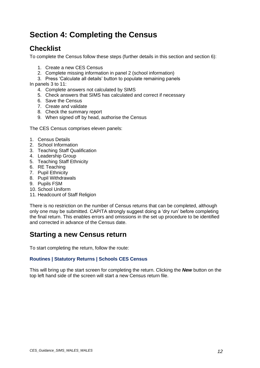# <span id="page-11-0"></span>**Section 4: Completing the Census**

### <span id="page-11-1"></span>**Checklist**

To complete the Census follow these steps (further details in this section and section 6):

- 1. Create a new CES Census
- 2. Complete missing information in panel 2 (school information)
- 3. Press 'Calculate all details' button to populate remaining panels

In panels 3 to 11:

- 4. Complete answers not calculated by SIMS
- 5. Check answers that SIMS has calculated and correct if necessary
- 6. Save the Census
- 7. Create and validate
- 8. Check the summary report
- 9. When signed off by head, authorise the Census

The CES Census comprises eleven panels:

- 1. Census Details
- 2. School Information
- 3. Teaching Staff Qualification
- 4. Leadership Group
- 5. Teaching Staff Ethnicity
- 6. RE Teaching
- 7. Pupil Ethnicity
- 8. Pupil Withdrawals
- 9. Pupils FSM
- 10. School Uniform
- 11. Headcount of Staff Religion

There is no restriction on the number of Census returns that can be completed, although only one may be submitted. CAPITA strongly suggest doing a 'dry run' before completing the final return. This enables errors and omissions in the set up procedure to be identified and corrected in advance of the Census date.

### <span id="page-11-2"></span>**Starting a new Census return**

To start completing the return, follow the route:

#### **Routines | Statutory Returns | Schools CES Census**

This will bring up the start screen for completing the return. Clicking the *New* button on the top left hand side of the screen will start a new Census return file.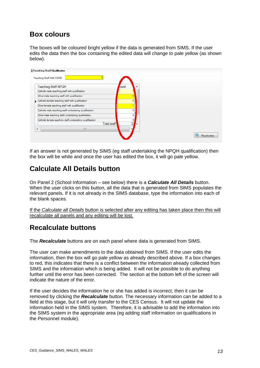### <span id="page-12-0"></span>**Box colours**

The boxes will be coloured bright yellow if the data is generated from SIMS. If the user edits the data then the box containing the edited data will change to pale yellow (as shown below).



If an answer is not generated by SIMS (eg staff undertaking the NPQH qualification) then the box will be white and once the user has edited the box, it will go pale yellow.

### <span id="page-12-1"></span>**Calculate All Details button**

On Panel 2 (School Information – see below) there is a *Calculate All Details* button. When the user clicks on this button, all the data that is generated from SIMS populates the relevant panels. If it is not already in the SIMS database, type the information into each of the blank spaces.

If the *Calculate all Details* button is selected after any editing has taken place then this will recalculate all panels and any editing will be lost.

### <span id="page-12-2"></span>**Recalculate buttons**

The *Recalculate* buttons are on each panel where data is generated from SIMS.

The user can make amendments to the data obtained from SIMS. If the user edits the information, then the box will go pale yellow as already described above. If a box changes to red, this indicates that there is a conflict between the information already collected from SIMS and the information which is being added. It will not be possible to do anything further until the error has been corrected. The section at the bottom left of the screen will indicate the nature of the error.

If the user decides the information he or she has added is incorrect, then it can be removed by clicking the *Recalculate* button. The necessary information can be added to a field at this stage, but it will only transfer to the CES Census. It will not update the information held in the SIMS system. Therefore, it is advisable to add the information into the SIMS system in the appropriate area (eg adding staff information on qualifications in the Personnel module).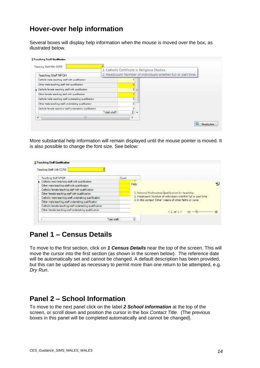### <span id="page-13-0"></span>**Hover-over help information**

Several boxes will display help information when the mouse is moved over the box, as illustrated below.

| Teaching Staff With CCRS                                 |             |                                                                |                          | 1. Catholic Certificate in Religious Studies. |  |  |  |
|----------------------------------------------------------|-------------|----------------------------------------------------------------|--------------------------|-----------------------------------------------|--|--|--|
| <b>Teaching Staff NPQH</b>                               |             | 2. Headcount: Number of individuals whether full or part time. |                          |                                               |  |  |  |
| Catholic male teaching staff with qualification          |             |                                                                |                          |                                               |  |  |  |
| Other male teaching staff with qualification             |             |                                                                |                          |                                               |  |  |  |
| Catholic female teaching staff with qualification        |             | $\overline{0}$                                                 | Ξ                        |                                               |  |  |  |
| Other female teaching staff with qualification           |             |                                                                |                          |                                               |  |  |  |
| Catholic male teaching staff undertaking qualification   |             |                                                                |                          |                                               |  |  |  |
| Other male teaching staff undertaking qualification      |             | $\Omega$                                                       |                          |                                               |  |  |  |
| Catholic female teaching staff undertaking qualification |             | 0                                                              |                          |                                               |  |  |  |
|                                                          | Total staff | $\overline{2}$                                                 | $\overline{\phantom{a}}$ |                                               |  |  |  |
| Ш                                                        |             |                                                                |                          |                                               |  |  |  |

More substantial help information will remain displayed until the mouse pointer is moved. It is also possible to change the font size. See below:

| Teaching Staff With CCRS                                 |       |                                                                |
|----------------------------------------------------------|-------|----------------------------------------------------------------|
| Teaching Staff NEGH                                      | Count |                                                                |
| Catholic male teaching staff with qualification          |       |                                                                |
| Other male teaching staff with qualification             |       | Help                                                           |
| Catholic female teaching staff with qualification        |       |                                                                |
| Other female teaching staff with qualification           |       | 1. National Professional Quastication for headship.            |
| Catholic male teaching staff undertaking qualification.  |       | 2. Headcount: Number of individuals whether full or part time. |
| Other male teaching staff undertaking qualification      |       | 3. In this context 'Other' means of other faiths or none.      |
| Catholic female teaching staff undertaking qualification |       |                                                                |
| Other female teaching staff undertaking qualification.   |       | 41 正生                                                          |
|                                                          |       |                                                                |

### <span id="page-13-1"></span>**Panel 1 – Census Details**

To move to the first section, click on *1 Census Details* near the top of the screen. This will move the cursor into the first section (as shown in the screen below). The reference date will be automatically set and cannot be changed. A default description has been provided, but this can be updated as necessary to permit more than one return to be attempted, e.g. *Dry Run*.

### <span id="page-13-2"></span>**Panel 2 – School Information**

To move to the next panel click on the label *2 School information* at the top of the screen, or scroll down and position the cursor in the box *Contact Title*. (The previous boxes in this panel will be completed automatically and cannot be changed).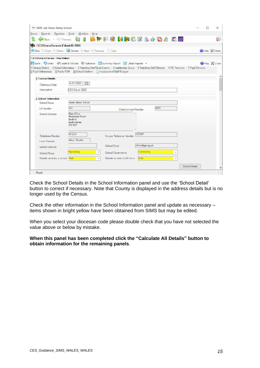| 100 SIMS .net: Green Abbey School          |                                                                                                                                                                                                                                                                                                                       | п             | ×             |
|--------------------------------------------|-----------------------------------------------------------------------------------------------------------------------------------------------------------------------------------------------------------------------------------------------------------------------------------------------------------------------|---------------|---------------|
| Focus Reports Routines Tools Window Help   |                                                                                                                                                                                                                                                                                                                       |               |               |
|                                            | (Bax : = ) Forward (2) 3 B P P D M M P D B & A D & E B                                                                                                                                                                                                                                                                |               | è.            |
| <b>CES Return Browser Fileset ID: 2001</b> |                                                                                                                                                                                                                                                                                                                       |               |               |
|                                            | New Open Celete <b>N</b> Drowse Next Previous Copy                                                                                                                                                                                                                                                                    |               | Close X Close |
| <b>CES Return Details - New Return</b>     |                                                                                                                                                                                                                                                                                                                       |               |               |
|                                            | Save J Undo Create & Validate & Authorice Summary Report E Jetail Reports<br>1 Cansus Dateils 2 School Information 3 Teaching Staff Qualification 4 Leadership Group 5 Teaching Staff Ethnicity 6 RE Teaching 7 Pupil Ethnicity<br>8 Pupil Withdrawalo 9 Pupilla FSM 10 School Uniform 11 Hoodcount of Staff Raligion |               | Hap X Core    |
| 1 Census Detrils                           |                                                                                                                                                                                                                                                                                                                       |               |               |
| Deference Date                             | 20/01/2022                                                                                                                                                                                                                                                                                                            |               |               |
| <b>L'escription</b>                        | CES Rotum 2022                                                                                                                                                                                                                                                                                                        |               |               |
| 2 School Information                       |                                                                                                                                                                                                                                                                                                                       |               |               |
| School Name                                | Green Abbey School                                                                                                                                                                                                                                                                                                    |               |               |
| LA Number                                  | 823<br>4321<br>Establishment Number                                                                                                                                                                                                                                                                                   |               |               |
| <b>School Address</b>                      | Main O'Fre<br>Mankmoor Road<br>Bedford<br>Hedfordshire<br>SI <sub>2</sub> 5AP                                                                                                                                                                                                                                         |               |               |
| Telephone Number                           | 851234<br>137247<br>Unique Reference Number                                                                                                                                                                                                                                                                           |               |               |
| Head Teacher                               | Adrien Blacker                                                                                                                                                                                                                                                                                                        |               |               |
| School Wabs to                             | office@ga.org.uk<br>School Errol                                                                                                                                                                                                                                                                                      |               |               |
| School Phase                               | Corynarity<br>Secondary<br>School Governance<br>v                                                                                                                                                                                                                                                                     |               |               |
| Gender on entry to school. Both            | Gender on entry to 6th form<br><b>Prith</b><br>v<br>$\sim$                                                                                                                                                                                                                                                            |               |               |
|                                            |                                                                                                                                                                                                                                                                                                                       | School Detail |               |
| Ready                                      |                                                                                                                                                                                                                                                                                                                       |               |               |

Check the School Details in the School Information panel and use the 'School Detail' button to correct if necessary. Note that County is displayed in the address details but is no longer used by the Census.

Check the other information in the School Information panel and update as necessary – items shown in bright yellow have been obtained from SIMS but may be edited.

When you select your diocesan code please double check that you have not selected the value above or below by mistake.

#### **When this panel has been completed click the "Calculate All Details" button to obtain information for the remaining panels**.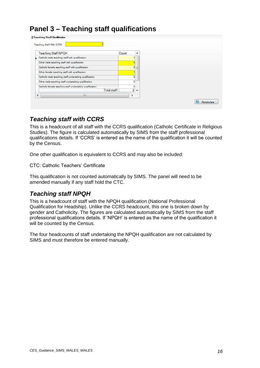### <span id="page-15-0"></span>**Panel 3 – Teaching staff qualifications**

| <b>Teaching Staff NPQH</b>                               | Count |                | A. |  |
|----------------------------------------------------------|-------|----------------|----|--|
| Catholic male teaching staff with qualification          |       |                |    |  |
| Other male teaching staff with qualification             |       |                |    |  |
| Catholic female teaching staff with qualification        |       | $\overline{0}$ | E  |  |
| Other female teaching staff with qualification           |       |                |    |  |
| Catholic male teaching staff undertaking qualification   |       | G              |    |  |
| Other male teaching staff undertaking qualification      |       | 0              |    |  |
| Catholic female teaching staff undertaking qualification |       | 0              |    |  |
| Total staff                                              |       | $2 -$          |    |  |
| Ш<br>¥                                                   |       |                |    |  |

#### <span id="page-15-1"></span>*Teaching staff with CCRS*

This is a headcount of all staff with the CCRS qualification (Catholic Certificate in Religious Studies). The figure is calculated automatically by SIMS from the staff professional qualifications details. If 'CCRS' is entered as the name of the qualification it will be counted by the Census.

One other qualification is equivalent to CCRS and may also be included:

CTC: Catholic Teachers' Certificate

This qualification is not counted automatically by SIMS. The panel will need to be amended manually if any staff hold the CTC.

#### <span id="page-15-2"></span>*Teaching staff NPQH*

This is a headcount of staff with the NPQH qualification (National Professional Qualification for Headship). Unlike the CCRS headcount, this one is broken down by gender and Catholicity. The figures are calculated automatically by SIMS from the staff professional qualifications details. If 'NPQH' is entered as the name of the qualification it will be counted by the Census.

The four headcounts of staff undertaking the NPQH qualification are not calculated by SIMS and must therefore be entered manually.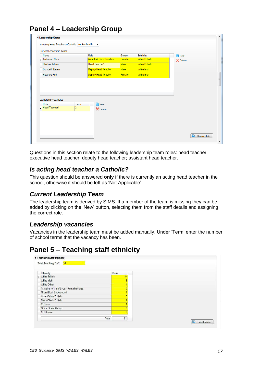| Name                  | Role                   |                               | Gender | Ethnicity            | New                |  |
|-----------------------|------------------------|-------------------------------|--------|----------------------|--------------------|--|
| Anderson Mary         |                        | <b>Assistant Head Teacher</b> | Female | <b>White British</b> | $\mathbb X$ Delete |  |
| <b>Blacker Adrian</b> |                        | Head Teacher1                 | Male   | <b>White British</b> |                    |  |
| <b>Dumbell Steven</b> |                        | Deputy Head Teacher           | Male   | <b>White Irish</b>   |                    |  |
| <b>Hatchett Ruth</b>  |                        | Deputy Head Teacher           | Female | <b>White Irish</b>   |                    |  |
| Leadership Vacancies  |                        |                               |        |                      |                    |  |
| Role<br>Head Teacher1 | Term<br>$\overline{2}$ | New                           |        |                      |                    |  |
|                       |                        | X Delete                      |        |                      |                    |  |
|                       |                        |                               |        |                      |                    |  |
|                       |                        |                               |        |                      |                    |  |

# <span id="page-16-0"></span>**Panel 4 – Leadership Group**

Questions in this section relate to the following leadership team roles: head teacher; executive head teacher; deputy head teacher; assistant head teacher.

#### <span id="page-16-1"></span>*Is acting head teacher a Catholic?*

This question should be answered **only** if there is currently an acting head teacher in the school, otherwise it should be left as 'Not Applicable'.

#### <span id="page-16-2"></span>*Current Leadership Team*

The leadership team is derived by SIMS. If a member of the team is missing they can be added by clicking on the 'New' button, selecting them from the staff details and assigning the correct role.

#### <span id="page-16-3"></span>*Leadership vacancies*

Vacancies in the leadership team must be added manually. Under 'Term' enter the number of school terms that the vacancy has been.

### <span id="page-16-4"></span>**Panel 5 – Teaching staff ethnicity**

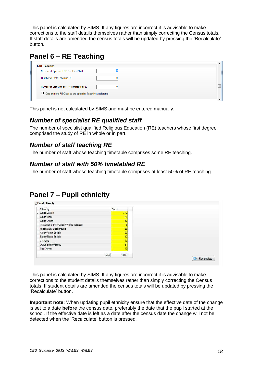This panel is calculated by SIMS. If any figures are incorrect it is advisable to make corrections to the staff details themselves rather than simply correcting the Census totals. If staff details are amended the census totals will be updated by pressing the 'Recalculate' button.

# <span id="page-17-0"></span>**Panel 6 – RE Teaching**

| <b>6 RE Teaching</b>                                      |  |
|-----------------------------------------------------------|--|
| Number of Specialist RE Qualified Staff                   |  |
| Number of Staff Teaching RE                               |  |
| Number of Staff with 50% of Timetabled RE                 |  |
| □ One or more RE Classes are taken by Teaching Assistants |  |

This panel is not calculated by SIMS and must be entered manually.

#### <span id="page-17-1"></span>*Number of specialist RE qualified staff*

The number of specialist qualified Religious Education (RE) teachers whose first degree comprised the study of RE in whole or in part.

#### <span id="page-17-2"></span>*Number of staff teaching RE*

The number of staff whose teaching timetable comprises some RE teaching.

#### <span id="page-17-3"></span>*Number of staff with 50% timetabled RE*

The number of staff whose teaching timetable comprises at least 50% of RE teaching.

### <span id="page-17-4"></span>**Panel 7 – Pupil ethnicity**



This panel is calculated by SIMS. If any figures are incorrect it is advisable to make corrections to the student details themselves rather than simply correcting the Census totals. If student details are amended the census totals will be updated by pressing the 'Recalculate' button.

**Important note:** When updating pupil ethnicity ensure that the effective date of the change is set to a date **before** the census date, preferably the date that the pupil started at the school. If the effective date is left as a date after the census date the change will not be detected when the 'Recalculate' button is pressed.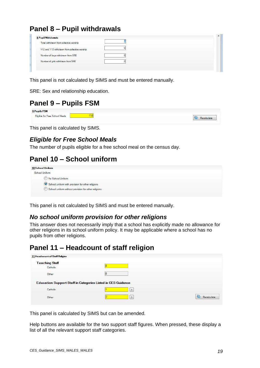# <span id="page-18-0"></span>**Panel 8 – Pupil withdrawals**

| 8 Pupil Withdrawals                           |  |
|-----------------------------------------------|--|
| Total withdrawn from collective worship       |  |
| Y12 and Y13 withdrawn from collective worship |  |
| Number of boys withdrawn from SRE             |  |
| Number of girls withdrawn from SRE            |  |

This panel is not calculated by SIMS and must be entered manually.

SRE: Sex and relationship education.

### <span id="page-18-1"></span>**Panel 9 – Pupils FSM**



This panel is calculated by SIMS.

#### <span id="page-18-2"></span>*Eligible for Free School Meals*

The number of pupils eligible for a free school meal on the census day.

### <span id="page-18-3"></span>**Panel 10 – School uniform**

| 10 School Uniform                                    |  |  |
|------------------------------------------------------|--|--|
| School Uniform                                       |  |  |
| No School Uniform<br>--------------                  |  |  |
| School uniform with provision for other religions    |  |  |
| School uniform without provision for other religions |  |  |
|                                                      |  |  |

This panel is not calculated by SIMS and must be entered manually.

#### <span id="page-18-4"></span>*No school uniform provision for other religions*

This answer does not necessarily imply that a school has explicitly made no allowance for other religions in its school uniform policy. It may be applicable where a school has no pupils from other religions.

### <span id="page-18-5"></span>**Panel 11 – Headcount of staff religion**

| 11 Headcount of Staff Religion    |                                                                     |             |
|-----------------------------------|---------------------------------------------------------------------|-------------|
| <b>Teaching Staff</b><br>Catholic |                                                                     |             |
| Other                             |                                                                     |             |
|                                   | <b>Education Support Staff in Categories Listed in CES Guidance</b> |             |
| Catholic                          | $\overline{2}$                                                      |             |
| Other                             | ×                                                                   | Recalculate |

This panel is calculated by SIMS but can be amended.

Help buttons are available for the two support staff figures. When pressed, these display a list of all the relevant support staff categories.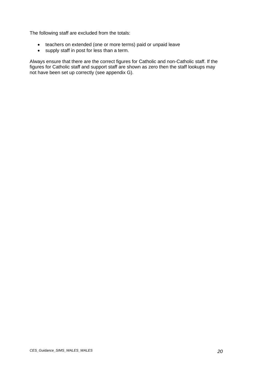The following staff are excluded from the totals:

- teachers on extended (one or more terms) paid or unpaid leave
- supply staff in post for less than a term.

Always ensure that there are the correct figures for Catholic and non-Catholic staff. If the figures for Catholic staff and support staff are shown as zero then the staff lookups may not have been set up correctly (see appendix G).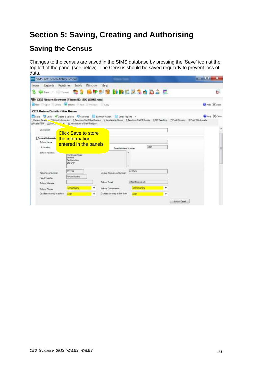# <span id="page-20-0"></span>**Section 5: Saving, Creating and Authorising**

### <span id="page-20-1"></span>**Saving the Census**

Changes to the census are saved in the SIMS database by pressing the 'Save' icon at the top left of the panel (see below). The Census should be saved regularly to prevent loss of data.

| <b>THE SIMS .net: Green Abbey School</b>                                                                                                                          |                                                                                                                                                                                                                                                                                                                                                           |                                |
|-------------------------------------------------------------------------------------------------------------------------------------------------------------------|-----------------------------------------------------------------------------------------------------------------------------------------------------------------------------------------------------------------------------------------------------------------------------------------------------------------------------------------------------------|--------------------------------|
| <b>Focus</b><br>Reports Routines                                                                                                                                  | Tools<br>Window<br>Help<br>bet · Finnel 37 BPFF1 MBBEZ3404 B                                                                                                                                                                                                                                                                                              | Ġ.                             |
| Hill New Control Delain A Browse Mart C Pressure                                                                                                                  | O CES Return Browser [Fileset ID: 800 (SIMS.net)]<br>Cory                                                                                                                                                                                                                                                                                                 | <b>WHALE X</b> Class           |
| <b>CES Return Details - New Return</b><br>9 Pupils FSM 19 Saltes 11 Headcount of Staff Religion<br>Description<br>2 School Informatio<br>School Name<br>LA Number | Save Unde Cheste & Validate C Authoritie Summary Regen E Detail Reports<br>1 Census Detail 1 School Information 3 Teaching Staff Qualification 4 Leadership Group 5 Teaching Staff Ethnicky & FIE Teaching 7 Pupil Ethnicky & Pupil Vithdrawals<br><b>Click Save to store</b><br>the information<br>entered in the panels<br>4321<br>Establishment Number | <b>Bristo &amp; Close</b><br>륟 |
| School Address                                                                                                                                                    | $\overline{a}$<br>Monkmoor Road<br>Rectional<br>Bedfordshire<br><b>SIZ SAP</b><br>÷                                                                                                                                                                                                                                                                       |                                |
| Telephone Number<br><b>Head Teacher</b>                                                                                                                           | 012345<br>851234<br>Unique Reference Number<br>Adrian Blacker<br>office@ga.org.uk<br>School Email                                                                                                                                                                                                                                                         |                                |
| School Wabase<br>Sehool Phase<br>Gender on entry to school                                                                                                        | Community<br>Secondary<br>School Governance<br>Both<br>Gender on entry to fith form<br>Both<br>۰                                                                                                                                                                                                                                                          | School Dirtsil                 |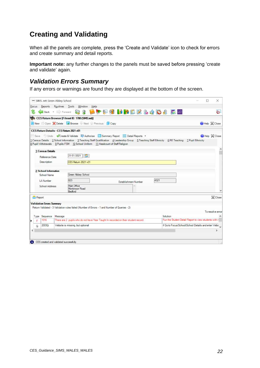### <span id="page-21-0"></span>**Creating and Validating**

When all the panels are complete, press the 'Create and Validate' icon to check for errors and create summary and detail reports.

**Important note:** any further changes to the panels must be saved before pressing 'create and validate' again.

#### <span id="page-21-1"></span>*Validation Errors Summary*

If any errors or warnings are found they are displayed at the bottom of the screen.

| SIMS .net Green Abbey School     |                                                                                                                                                                                                                                         | ×<br>П                                                |
|----------------------------------|-----------------------------------------------------------------------------------------------------------------------------------------------------------------------------------------------------------------------------------------|-------------------------------------------------------|
| Focus                            | Reports Routines Tools<br>Window<br>Help                                                                                                                                                                                                |                                                       |
|                                  | <b>Q &amp; LFP &amp; MRLZ &amp; 4 D &amp; E &amp;</b><br>Back . Forward                                                                                                                                                                 | à                                                     |
|                                  | CES Return Browser [Fileset ID: 1700 (SIMS.net)]                                                                                                                                                                                        |                                                       |
|                                  | New Open Colete A Browse Next Previous N Copy                                                                                                                                                                                           | Help X Close                                          |
|                                  | CES Return Details - CES Return 2021 v01                                                                                                                                                                                                |                                                       |
|                                  | Save Undo Create & Validate Authorise Summary Report E Detail Reports .                                                                                                                                                                 | Help & Close                                          |
|                                  | 1 Census Details 2 School Information 3 Teaching Staff Qualification 4 Leadership Group 5 Teaching Staff Ethnicity 6 RE Teaching 7 Pupil Ethnicity<br>8 Pupil Withdrawals 9 Pupils FSM 10 School Uniform 11 Headcount of Staff Religion |                                                       |
| 1 Census Details                 |                                                                                                                                                                                                                                         |                                                       |
| Reference Date                   | 21/01/2021<br><b>ISS</b>                                                                                                                                                                                                                |                                                       |
| <b>Description</b>               | CES Return 2021 v01                                                                                                                                                                                                                     |                                                       |
| 2 School Information             |                                                                                                                                                                                                                                         |                                                       |
| School Name                      | Green Abbey School                                                                                                                                                                                                                      |                                                       |
| LA Number                        | 823<br>4321<br><b>Establishment Number</b>                                                                                                                                                                                              |                                                       |
| School Address                   | Main Office<br>Monkmoor Road<br>Bedford                                                                                                                                                                                                 |                                                       |
| Report                           |                                                                                                                                                                                                                                         | X Close                                               |
| <b>Validation Errors Summary</b> |                                                                                                                                                                                                                                         |                                                       |
|                                  | Return Validated - 3 Validation rules failed (Number of Errors - 1 and Number of Queries - 2)                                                                                                                                           |                                                       |
|                                  |                                                                                                                                                                                                                                         | To resolve error                                      |
| Sequence<br>Type                 | Solution<br>Message                                                                                                                                                                                                                     |                                                       |
| 1016<br>r.                       | There are 2 pupils who do not have Year Taught in recorded on their student record.                                                                                                                                                     | Run the Student Detail Report to view students with r |
| 2003Q<br>Q                       | Website is missing, but optional                                                                                                                                                                                                        | # Go to Focus School School Details and enter Webs    |
|                                  |                                                                                                                                                                                                                                         | $\overline{\phantom{a}}$                              |
|                                  |                                                                                                                                                                                                                                         |                                                       |
|                                  |                                                                                                                                                                                                                                         |                                                       |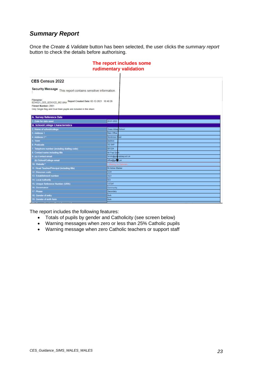#### <span id="page-22-0"></span>*Summary Report*

Once the *Create & Validate* button has been selected, the user clicks the *summary report* button to check the details before authorising.

| <b>CES Census 2022</b>                                                            |                          |
|-----------------------------------------------------------------------------------|--------------------------|
| Security Message This report contains sensitive information.                      |                          |
| Filename:<br>8234321_CES_823XX22_002.UNA Report Created Date: 02-12-2021 10:40:26 |                          |
| Fileset Number: 2001                                                              |                          |
| Only Single Reg and Dual Main pupils are included in the return                   |                          |
| <b>A. Survey Reference Date</b>                                                   |                          |
| 1. Date for data used                                                             | 20-01-2022               |
| <b>B. School/College Characteristics</b>                                          |                          |
| Mame of school/collage                                                            | Green Abbey School       |
| Address 1                                                                         | Main Office              |
| Address 2*                                                                        | bat<br>Monkmode          |
| Town                                                                              | <b>Bedford</b>           |
| Postcode                                                                          | <b>SIZ SAP</b>           |
| Telephone number (including dialing code)                                         | 851234                   |
| Contact name including the                                                        | Mr Fred Sm               |
| (a) Contact email                                                                 | familh@greenabbey.sch.uk |
| (b) School/College email                                                          | office@ga.vg.uk          |
| 10. Website *                                                                     | Merry, and Datesmin      |
| 11. Head Teacher/Principal (including title)                                      | <b>Mr Adrian Backer</b>  |
| 12. Diocesan code                                                                 | NOR                      |
| 13 Establishment number                                                           | 4321                     |
| 14 Local Authority                                                                | 823                      |
| 15. Unique Reference Number (URN)                                                 | 137247                   |
| 16 Governance                                                                     | Community                |
| 17. Phase                                                                         | Secondary                |
| 18 Gender of entry                                                                | Bat.                     |
| 19. Gender of sixth form                                                          | Both                     |
|                                                                                   |                          |

#### **The report includes some rudimentary validation**

The report includes the following features:

- Totals of pupils by gender and Catholicity (see screen below)
- Warning messages when zero or less than 25% Catholic pupils
- Warning message when zero Catholic teachers or support staff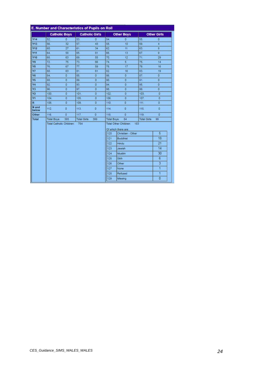|                | <b>Catholic Boys</b>     |                |                     | <b>Catholic Girls</b> |                    | <b>Other Boys</b>                                                 |                     | <b>Other Girls</b>        |
|----------------|--------------------------|----------------|---------------------|-----------------------|--------------------|-------------------------------------------------------------------|---------------------|---------------------------|
| Y14            | 52                       | ō              | 53.                 | Ð.                    | 54.                | o                                                                 | 55.                 | ø                         |
| Y13            | 56.                      | 32             | 57.                 | 43                    | 58.                | 10                                                                | 59.                 | 4                         |
| Y12            | 60.                      | 27             | 61.                 | 34                    | 62.                | 11                                                                | 63.                 | $\mathbf{B}$              |
| <b>Y11</b>     | 64                       | 58             | 65.                 | 81                    | 66.                | 13                                                                | 67.                 | g.                        |
| <b>Y10</b>     | 68                       | 63             | 69.                 | 55                    | 70.                | 12                                                                | 71.                 | 29                        |
| Y9             | 72                       | 75             | 73.                 | 66                    | 74.                | $5^{\circ}$                                                       | 75.                 | 14                        |
| Y8             | 76                       | 67             | 77                  | 59                    | 78.                | 17                                                                | 79.                 | 16                        |
| Y7             | 80                       | 63             | 81                  | 81                    | 82.                | 16                                                                | 83.                 | 19                        |
| Y6             | 84                       | o              | 85.                 | o                     | 86.                | o                                                                 | 87.                 | o                         |
| Y <sub>5</sub> | 88.                      | O              | 89.                 | o                     | 90.                | o                                                                 | 91                  | o                         |
| <b>Y4</b>      | 92                       | o              | 93.                 | ō                     | 94.                | ö                                                                 | 95.                 | ō                         |
| Y3             | 96                       | $\overline{0}$ | 97.                 | ō                     | 98.                | O.                                                                | 99.                 | O.                        |
| <b>Y2</b>      | 100                      | $\overline{0}$ | 101.                | o                     | 102                | o                                                                 | 103.                | O                         |
| Y1             | 104                      | o              | 105                 | o                     | 106                | ö                                                                 | 107                 | ٥                         |
| $\mathbb{R}$   | 108                      | o              | 109                 | o                     | 110                | O.                                                                | 111.                | o                         |
| N and<br>below | 112.                     | ö              | 113.                | o                     | 114.               | D.                                                                | 115                 | O.                        |
| Other          | 116                      | $\overline{G}$ | 117.                | $\overline{a}$        | 118                | $\overline{0}$                                                    | 119.                | $\overline{O}$            |
| Total          | Total Boys:              | 385            | <b>Total Girls:</b> | 399                   | <b>Total Boys.</b> | 84                                                                | <b>Total Girls:</b> | 99                        |
|                | Total Catholic Children: |                | 784                 |                       | 120                | Total Other Children.<br>Of which there are:<br>Christian - Other | 183                 | 5                         |
|                |                          |                |                     |                       | 121                | <b>Buddhist</b>                                                   |                     | 18                        |
|                |                          |                |                     |                       | 122                | Hindu                                                             |                     | 21                        |
|                |                          |                |                     |                       | 123                | Jewish                                                            |                     | 14                        |
|                |                          |                |                     |                       | 124                | Muslim                                                            |                     | 30                        |
|                |                          |                |                     |                       | 125                | Sikh                                                              |                     | 6                         |
|                |                          |                |                     |                       | 126                | Other                                                             |                     | $\overline{\overline{3}}$ |
|                |                          |                |                     |                       | 127                | None                                                              |                     | $\mathbf{1}$              |
|                |                          |                |                     |                       | 128                | Refused                                                           |                     | 1                         |
|                |                          |                |                     |                       | 129                | Missing                                                           |                     | o                         |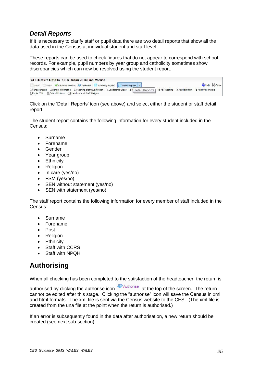#### <span id="page-24-0"></span>*Detail Reports*

If it is necessary to clarify staff or pupil data there are two detail reports that show all the data used in the Census at individual student and staff level.

These reports can be used to check figures that do not appear to correspond with school records. For example, pupil numbers by year group and catholicity sometimes show discrepancies which can now be resolved using the student report.

| <b>CES Return Details - CES Return 2016 Final Version</b>                                                                                                        |                               |  |  |  |  |  |
|------------------------------------------------------------------------------------------------------------------------------------------------------------------|-------------------------------|--|--|--|--|--|
| Save Undo Create & Validate Authorise <b>B</b> Summary Report <b>E</b> Detail Reports <b>Y</b>                                                                   | <b>O</b> Help $\otimes$ Close |  |  |  |  |  |
| 1 Census Details 2 School Information 3 Teaching Staff Qualification 4 Leadership Group 5   Detail Reports   6 RE Teaching 7 Pupil Ethnicity 8 Pupil Withdrawals |                               |  |  |  |  |  |
| 9 Pupils FSM 10 School Uniform 11 Headcount of Staff Religion                                                                                                    |                               |  |  |  |  |  |

Click on the 'Detail Reports' icon (see above) and select either the student or staff detail report.

The student report contains the following information for every student included in the Census:

- Surname
- Forename
- Gender
- Year group
- Ethnicity
- Religion
- In care (yes/no)
- FSM (yes/no)
- SEN without statement (yes/no)
- SEN with statement (yes/no)

The staff report contains the following information for every member of staff included in the Census:

- Surname
- Forename
- Post
- Religion
- Ethnicity
- Staff with CCRS
- Staff with NPQH

### <span id="page-24-1"></span>**Authorising**

When all checking has been completed to the satisfaction of the headteacher, the return is

authorised by clicking the authorise icon  $\sum_{n=1}^{\infty}$  Authorise at the top of the screen. The return cannot be edited after this stage. Clicking the "authorise" icon will save the Census in xml and html formats. The xml file is sent via the Census website to the CES. (The xml file is created from the una file at the point when the return is authorised.)

If an error is subsequently found in the data after authorisation, a new return should be created (see next sub-section).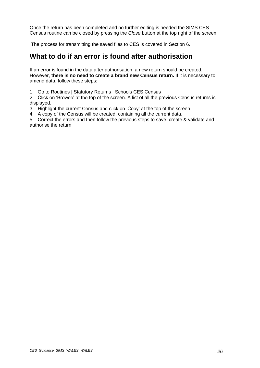Once the return has been completed and no further editing is needed the SIMS CES Census routine can be closed by pressing the *Close* button at the top right of the screen.

The process for transmitting the saved files to CES is covered in Section 6.

### <span id="page-25-0"></span>**What to do if an error is found after authorisation**

If an error is found in the data after authorisation, a new return should be created. However, **there is no need to create a brand new Census return.** If it is necessary to amend data, follow these steps:

1. Go to Routines | Statutory Returns | Schools CES Census

2. Click on 'Browse' at the top of the screen. A list of all the previous Census returns is displayed.

- 3. Highlight the current Census and click on 'Copy' at the top of the screen
- 4. A copy of the Census will be created, containing all the current data.

5. Correct the errors and then follow the previous steps to save, create & validate and authorise the return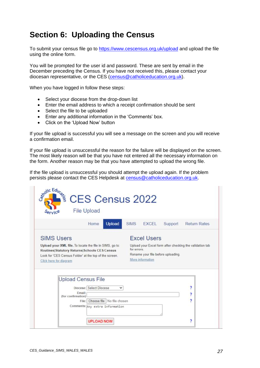# <span id="page-26-0"></span>**Section 6: Uploading the Census**

To submit your census file go to <https://www.cescensus.org.uk/upload> and upload the file using the online form.

You will be prompted for the user id and password. These are sent by email in the December preceding the Census. If you have not received this, please contact your diocesan representative, or the CES [\(census@catholiceducation.org.uk\)](mailto:census@catholiceducation.org.uk).

When you have logged in follow these steps:

- Select your diocese from the drop-down list
- Enter the email address to which a receipt confirmation should be sent
- Select the file to be uploaded
- Enter any additional information in the 'Comments' box.
- Click on the 'Upload Now' button

If your file upload is successful you will see a message on the screen and you will receive a confirmation email.

If your file upload is unsuccessful the reason for the failure will be displayed on the screen. The most likely reason will be that you have not entered all the necessary information on the form. Another reason may be that you have attempted to upload the wrong file.

If the file upload is unsuccessful you should attempt the upload again. If the problem persists please contact the CES Helpdesk at [census@catholiceducation.org.uk.](mailto:census@catholiceducation.org.uk)

|                                                                                                                                                                                               | File Upload                                   |             | <b>Education CES Census</b> 2022 |                                    |                                                          |
|-----------------------------------------------------------------------------------------------------------------------------------------------------------------------------------------------|-----------------------------------------------|-------------|----------------------------------|------------------------------------|----------------------------------------------------------|
|                                                                                                                                                                                               | <b>Upload</b><br>Home                         | <b>SIMS</b> | <b>EXCEL</b>                     | Support                            | <b>Return Rates</b>                                      |
| <b>SIMS Users</b>                                                                                                                                                                             |                                               |             | <b>Excel Users</b>               |                                    |                                                          |
| Upload your XML file. To locate the file in SIMS, go to:<br>Routines Statutory Returns Schools CES Census<br>Look for 'CES Census Folder' at the top of the screen.<br>Click here for diagram |                                               |             |                                  |                                    | Upload your Excel form after checking the validation tab |
|                                                                                                                                                                                               |                                               | for errors. | More information                 | Rename your file before uploading. |                                                          |
|                                                                                                                                                                                               | <b>Upload Census File</b>                     |             |                                  |                                    |                                                          |
|                                                                                                                                                                                               | Diocese: Select Diocese                       |             |                                  |                                    | ,                                                        |
| (for confirmation)                                                                                                                                                                            | Fmail:<br>Choose file No file chosen<br>File: |             |                                  |                                    | 7<br>5                                                   |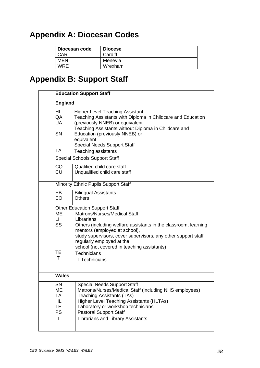# <span id="page-27-0"></span>**Appendix A: Diocesan Codes**

| Diocesan code | <b>Diocese</b> |
|---------------|----------------|
| CAR           | Cardiff        |
| <b>MEN</b>    | Menevia        |
| <b>WRF</b>    | Wrexham        |

# <span id="page-27-1"></span>**Appendix B: Support Staff**

|                                                | <b>Education Support Staff</b>                                                                                                                                                                                                                                                                  |  |  |  |  |
|------------------------------------------------|-------------------------------------------------------------------------------------------------------------------------------------------------------------------------------------------------------------------------------------------------------------------------------------------------|--|--|--|--|
| <b>England</b>                                 |                                                                                                                                                                                                                                                                                                 |  |  |  |  |
| <b>HL</b><br>QA<br><b>UA</b>                   | <b>Higher Level Teaching Assistant</b><br>Teaching Assistants with Diploma in Childcare and Education<br>(previously NNEB) or equivalent<br>Teaching Assistants without Diploma in Childcare and                                                                                                |  |  |  |  |
| SN                                             | Education (previously NNEB) or<br>equivalent<br><b>Special Needs Support Staff</b>                                                                                                                                                                                                              |  |  |  |  |
| <b>TA</b>                                      | Teaching assistants                                                                                                                                                                                                                                                                             |  |  |  |  |
|                                                | <b>Special Schools Support Staff</b>                                                                                                                                                                                                                                                            |  |  |  |  |
| CQ<br>CU                                       | Qualified child care staff<br>Unqualified child care staff                                                                                                                                                                                                                                      |  |  |  |  |
|                                                | Minority Ethnic Pupils Support Staff                                                                                                                                                                                                                                                            |  |  |  |  |
| EB<br>EO                                       | <b>Bilingual Assistants</b><br><b>Others</b>                                                                                                                                                                                                                                                    |  |  |  |  |
|                                                | <b>Other Education Support Staff</b>                                                                                                                                                                                                                                                            |  |  |  |  |
| ME<br>$\mathsf{L}\mathsf{L}$<br><b>SS</b>      | Matrons/Nurses/Medical Staff<br>Librarians<br>Others (including welfare assistants in the classroom, learning<br>mentors (employed at school),<br>study supervisors, cover supervisors, any other support staff<br>regularly employed at the<br>school (not covered in teaching assistants)     |  |  |  |  |
| TE.<br>IT                                      | <b>Technicians</b><br><b>IT Technicians</b>                                                                                                                                                                                                                                                     |  |  |  |  |
| <b>Wales</b>                                   |                                                                                                                                                                                                                                                                                                 |  |  |  |  |
| SN<br>MЕ<br>TA<br>HL.<br>TE.<br><b>PS</b><br>П | <b>Special Needs Support Staff</b><br>Matrons/Nurses/Medical Staff (including NHS employees)<br><b>Teaching Assistants (TAs)</b><br><b>Higher Level Teaching Assistants (HLTAs)</b><br>Laboratory or workshop technicians<br><b>Pastoral Support Staff</b><br>Librarians and Library Assistants |  |  |  |  |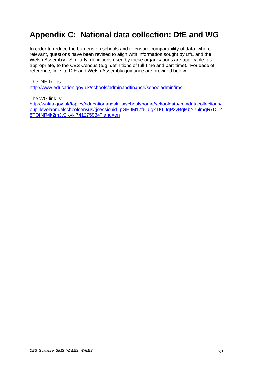# <span id="page-28-0"></span>**Appendix C: National data collection: DfE and WG**

In order to reduce the burdens on schools and to ensure comparability of data, where relevant, questions have been revised to align with information sought by DfE and the Welsh Assembly. Similarly, definitions used by these organisations are applicable, as appropriate, to the CES Census (e.g. definitions of full-time and part-time). For ease of reference, links to DfE and Welsh Assembly guidance are provided below.

The DfE link is:

<http://www.education.gov.uk/schools/adminandfinance/schooladmin/ims>

The WG link is:

[http://wales.gov.uk/topics/educationandskills/schoolshome/schooldata/ims/datacollections/](http://wales.gov.uk/topics/educationandskills/schoolshome/schooldata/ims/datacollections/pupillevelannualschoolcensus/;jsessionid=pGHJM17f615gxTKLJqP2vBqMbY7plmqR7DTZ8TQfNR4k2mJy2Kvk!741275934?lang=en) [pupillevelannualschoolcensus/;jsessionid=pGHJM17f615gxTKLJqP2vBqMbY7plmqR7DTZ](http://wales.gov.uk/topics/educationandskills/schoolshome/schooldata/ims/datacollections/pupillevelannualschoolcensus/;jsessionid=pGHJM17f615gxTKLJqP2vBqMbY7plmqR7DTZ8TQfNR4k2mJy2Kvk!741275934?lang=en) [8TQfNR4k2mJy2Kvk!741275934?lang=en](http://wales.gov.uk/topics/educationandskills/schoolshome/schooldata/ims/datacollections/pupillevelannualschoolcensus/;jsessionid=pGHJM17f615gxTKLJqP2vBqMbY7plmqR7DTZ8TQfNR4k2mJy2Kvk!741275934?lang=en)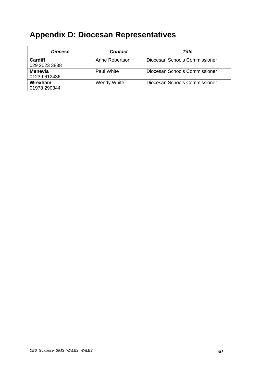# <span id="page-29-0"></span>**Appendix D: Diocesan Representatives**

| <b>Diocese</b>           | <b>Contact</b> | Title                         |
|--------------------------|----------------|-------------------------------|
| Cardiff<br>029 2023 3838 | Anne Robertson | Diocesan Schools Commissioner |
| Menevia<br>01239 612436  | Paul White     | Diocesan Schools Commissioner |
| Wrexham<br>01978 290344  | Wendy White    | Diocesan Schools Commissioner |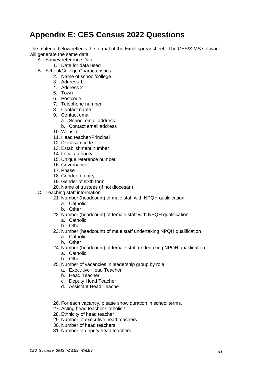# <span id="page-30-0"></span>**Appendix E: CES Census 2022 Questions**

The material below reflects the format of the Excel spreadsheet. The CES/SIMS software will generate the same data.

- A. Survey reference Date
	- 1. Date for data used
- B. School/College Characteristics
	- 2. Name of school/college
	- 3. Address 1
	- 4. Address 2
	- 5. Town
	- 6. Postcode
	- 7. Telephone number
	- 8. Contact name
	- 9. Contact email
		- a. School email address
		- b. Contact email address
	- 10. Website
	- 11. Head teacher/Principal
	- 12. Diocesan code
	- 13. Establishment number
	- 14. Local authority
	- 15. Unique reference number
	- 16. Governance
	- 17. Phase
	- 18. Gender of entry
	- 19. Gender of sixth form
	- 20. Name of trustees (if not diocesan)
- C. Teaching staff information
	- 21. Number (headcount) of male staff with NPQH qualification
		- a. Catholic
		- b. Other
	- 22. Number (headcount) of female staff with NPQH qualification
		- a. Catholic
		- b. Other
	- 23. Number (headcount) of male staff undertaking NPQH qualification
		- a. Catholic
		- b. Other
	- 24. Number (headcount) of female staff undertaking NPQH qualification
		- a. Catholic
		- b. Other
	- 25. Number of vacancies in leadership group by role
		- a. Executive Head Teacher
		- b. Head Teacher
		- c. Deputy Head Teacher
		- d. Assistant Head Teacher
	- 26. For each vacancy, please show duration in school terms.
	- 27. Acting head teacher Catholic?
	- 28. Ethnicity of head teacher
	- 29. Number of executive head teachers
	- 30. Number of head teachers
	- 31. Number of deputy head teachers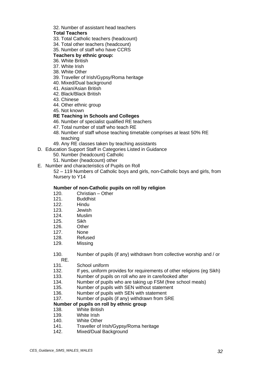#### 32. Number of assistant head teachers

#### **Total Teachers**

- 33. Total Catholic teachers (headcount)
- 34. Total other teachers (headcount)
- 35. Number of staff who have CCRS

#### **Teachers by ethnic group:**

- 36. White British
- 37. White Irish
- 38. White Other
- 39. Traveller of Irish/Gypsy/Roma heritage
- 40. Mixed/Dual background
- 41. Asian/Asian British
- 42. Black/Black British
- 43. Chinese
- 44. Other ethnic group
- 45. Not known

#### **RE Teaching in Schools and Colleges**

- 46. Number of specialist qualified RE teachers
- 47. Total number of staff who teach RE
- 48. Number of staff whose teaching timetable comprises at least 50% RE teaching
- 49. Any RE classes taken by teaching assistants
- D. Education Support Staff in Categories Listed in Guidance
	- 50. Number (headcount) Catholic
	- 51. Number (headcount) other
- E. Number and characteristics of Pupils on Roll

52 – 119 Numbers of Catholic boys and girls, non-Catholic boys and girls, from Nursery to Y14

#### **Number of non-Catholic pupils on roll by religion**

- 120. Christian Other
- 121. Buddhist
- 122. Hindu
- 123. Jewish
- 124. Muslim
- 125. Sikh
- 126. Other
- 127. None
- 128. Refused
- 129. Missing

130. Number of pupils (if any) withdrawn from collective worship and / or RE.

- 131. School uniform
- 132. If yes, uniform provides for requirements of other religions (eg Sikh)
- 133. Number of pupils on roll who are in care/looked after
- 134. Number of pupils who are taking up FSM (free school meals)
- 135. Number of pupils with SEN without statement
- 136. Number of pupils with SEN with statement
- 137. Number of pupils (if any) withdrawn from SRE

#### **Number of pupils on roll by ethnic group**

- 138. White British
- 139. White Irish
- 140. White Other
- 141. Traveller of Irish/Gypsy/Roma heritage
- 142. Mixed/Dual Background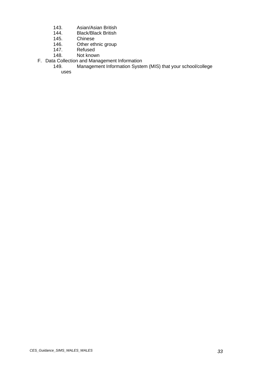- 143. Asian/Asian British<br>144. Black/Black British
- 144. Black/Black British<br>145. Chinese
- 145. Chinese<br>146. Other eth
- 146. Other ethnic group<br>147. Refused
- 147. Refused<br>148. Not know
- Not known
- F. Data Collection and Management Information<br>149. Management Information Syste
	- 149. Management Information System (MIS) that your school/college uses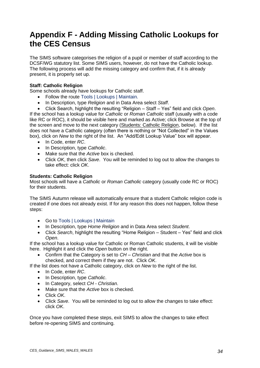# <span id="page-33-0"></span>**Appendix F - Adding Missing Catholic Lookups for the CES Census**

The SIMS software categorises the religion of a pupil or member of staff according to the DCSF/WG statutory list. Some SIMS users, however, do not have the Catholic lookup. The following process will add the missing category and confirm that, if it is already present, it is properly set up.

#### **Staff: Catholic Religion**

Some schools already have lookups for Catholic staff.

- Follow the route Tools | Lookups | Maintain.
- In Description, type *Religion* and in Data Area select *Staff*.
- Click Search, highlight the resulting "Religion Staff Yes" field and click *Open*.

If the school has a lookup value for *Catholic* or *Roman Catholic* staff (usually with a code like RC or ROC), it should be visible here and marked as Active; click Browse at the top of the screen and move to the next category (Students: Catholic Religion, below). If the list does not have a Catholic category (often there is nothing or "Not Collected" in the Values box), click on *New* to the right of the list. An "Add/Edit Lookup Value" box will appear.

- In Code, enter *RC*.
- In Description, type *Catholic*.
- Make sure that the *Active* box is checked.
- Click *OK*, then click *Save*. You will be reminded to log out to allow the changes to take effect: click *OK*.

#### **Students: Catholic Religion**

Most schools will have a *Catholic* or *Roman Catholic* category (usually code RC or ROC) for their students.

The SIMS Autumn release will automatically ensure that a student Catholic religion code is created if one does not already exist. If for any reason this does not happen, follow these steps:

- Go to Tools | Lookups | Maintain
- In Description, type *Home Religion* and in Data Area select *Student*.
- Click *Search*, highlight the resulting "Home Religion Student Yes" field and click *Open*.

If the school has a lookup value for Catholic or Roman Catholic students, it will be visible here. Highlight it and click the *Open* button on the right.

• Confirm that the Category is set to *CH – Christian* and that the *Active* box is checked, and correct them if they are not. Click *OK*.

If the list does not have a Catholic category, click on *New* to the right of the list.

- In Code, enter *RC*.
- In Description, type *Catholic*.
- In Category, select *CH - Christian*.
- Make sure that the *Active* box is checked.
- Click *OK*.
- Click *Save*. You will be reminded to log out to allow the changes to take effect: click *OK*.

Once you have completed these steps, exit SIMS to allow the changes to take effect before re-opening SIMS and continuing.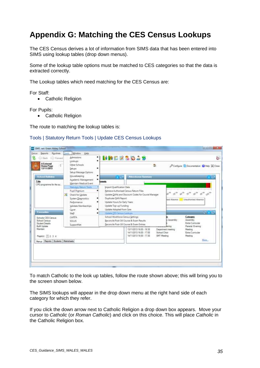# <span id="page-34-0"></span>**Appendix G: Matching the CES Census Lookups**

The CES Census derives a lot of information from SIMS data that has been entered into SIMS using lookup tables (drop down menus).

Some of the lookup table options must be matched to CES categories so that the data is extracted correctly.

The Lookup tables which need matching for the CES Census are:

For Staff:

• Catholic Religion

For Pupils:

• Catholic Religion

The route to matching the lookup tables is:

#### Tools | Statutory Return Tools | Update CES Census Lookups

| Routines<br><b>Seports</b><br>Focus<br>Forward<br>Back                                    | Tools. | Window<br>Help<br>Admissions:                                                                                      | ., | MRDZSDJS                                                                                                                                                                  |                                                                                                                        |                    | e.                                                      |
|-------------------------------------------------------------------------------------------|--------|--------------------------------------------------------------------------------------------------------------------|----|---------------------------------------------------------------------------------------------------------------------------------------------------------------------------|------------------------------------------------------------------------------------------------------------------------|--------------------|---------------------------------------------------------|
| <b>A External</b><br><b>Home Page</b><br>12/11/2013                                       |        | Lookups<br>Other Schools<br>Setups<br>Setup Message Options                                                        |    |                                                                                                                                                                           | œ                                                                                                                      |                    | Compute Cocumentation C Help X Close                    |
| School Bulletine<br>Title                                                                 |        | Housekeeping<br>Academic Management<br>Maintain Medical Event                                                      | ٠  | 756<br>ments:                                                                                                                                                             | <b>Alterdates Surrours</b>                                                                                             |                    |                                                         |
| CPD programme for the au                                                                  |        | Statutory Return Tools<br>Pupil Premium                                                                            |    | Import Qualification Data<br>Retneve Authorised Census Return Files                                                                                                       |                                                                                                                        |                    |                                                         |
| Favounds<br>Schools CES Census                                                            | ×.     | Check for Lindate<br>System Diagnostics<br>Performance<br>Validate Memberships<br>Cover.<br>Staff<br><b>CAPITA</b> |    | Duplicate QAN Report<br>Update Hours for Early Years<br>Update Top-up Funding<br>Update Adopted from Care<br>Update CES Cerman Lookum<br>School Workforce Census Settings | Update QANs and Discount Codes for Course Manager                                                                      | hed Absence        | <b>Unauthorised Absence</b><br><b>NEWS</b><br>Category  |
| School Cereus<br>Student Details                                                          |        | SCILUS<br>SupportNet.                                                                                              |    | Reconcile Post-16 Course & Exam Results<br>Beconcile Post-16 Course & Exam Entries                                                                                        |                                                                                                                        | Assembly<br>léning | Assembly<br><b>Extra</b> Curricular<br>Parents' Evening |
| <b>BufK Update</b><br>Maintain<br>Page(a): 11 2 3 4<br>Merus Reports Students Mericaheets |        |                                                                                                                    |    |                                                                                                                                                                           | 13/11/2013 16:00 - 16:30<br>14/11/2013 16:00 - 17:00<br><b>School Choir</b><br>14/11/2013 16:00 - 17:30<br>SMT Meeting | Department meeting | Meeting<br>Extra Curricular<br>Meeting<br>More.         |

To match Catholic to the look up tables, follow the route shown above; this will bring you to the screen shown below.

The SIMS lookups will appear in the drop down menu at the right hand side of each category for which they refer.

If you click the down arrow next to Catholic Religion a drop down box appears. Move your cursor to *Catholic* (or *Roman Catholic*) and click on this choice. This will place *Catholic* in the Catholic Religion box.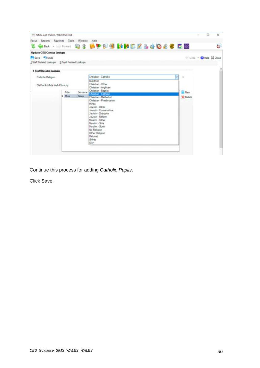| Focus Beports Routines Tools Window                                                                |       |         | Help<br><b>Gene · Monacle &amp; 8 Life P.9 MMBCZ&amp;4086 BM</b>                                                                                                                                                                                                                                 |                   |                      | Ġ. |
|----------------------------------------------------------------------------------------------------|-------|---------|--------------------------------------------------------------------------------------------------------------------------------------------------------------------------------------------------------------------------------------------------------------------------------------------------|-------------------|----------------------|----|
| <b>Update CES Census Lookups</b><br>Save J Undo<br>1 Staff Related Lookups 2 Pupil Related Lookups |       |         |                                                                                                                                                                                                                                                                                                  |                   | Links + Help & Close |    |
| 1 Staff Related Lookups                                                                            |       |         |                                                                                                                                                                                                                                                                                                  |                   |                      |    |
| Catholic Religion<br>Staff with White Irish Ethnicity                                              | Title | Surname | Christian - Catholic<br>w<br><b>Buddhist</b><br>Christian - Other<br>Christian - Anglican<br>Christian - Baptist                                                                                                                                                                                 | ٠<br><b>B</b> New |                      |    |
|                                                                                                    | Miss  | Bates   | Christian - Catholic<br>Christian - Methodist<br>Christian - Presbytarian<br><b>Hindu</b><br>Jewish - Other<br>Jewish - Conservative<br>Jewish - Orthodox<br>Jewish - Reform<br>Muslim - Other<br>Muslim - Shia<br>Muslim - Sunni<br>No Religion<br>Other Religion<br>Refused<br>Shirito<br>Sikh | C Delete          |                      |    |

Continue this process for adding *Catholic Pupils*.

Click Save.